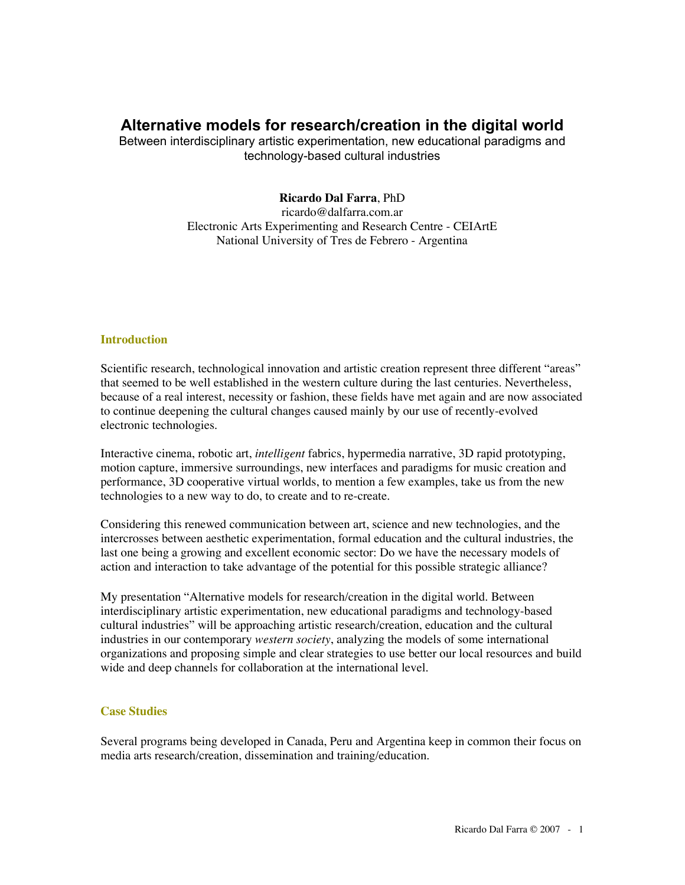# **Alternative models for research/creation in the digital world**

Between interdisciplinary artistic experimentation, new educational paradigms and technology-based cultural industries

## **Ricardo Dal Farra**, PhD

ricardo@dalfarra.com.ar Electronic Arts Experimenting and Research Centre - CEIArtE National University of Tres de Febrero - Argentina

## **Introduction**

Scientific research, technological innovation and artistic creation represent three different "areas" that seemed to be well established in the western culture during the last centuries. Nevertheless, because of a real interest, necessity or fashion, these fields have met again and are now associated to continue deepening the cultural changes caused mainly by our use of recently-evolved electronic technologies.

Interactive cinema, robotic art, *intelligent* fabrics, hypermedia narrative, 3D rapid prototyping, motion capture, immersive surroundings, new interfaces and paradigms for music creation and performance, 3D cooperative virtual worlds, to mention a few examples, take us from the new technologies to a new way to do, to create and to re-create.

Considering this renewed communication between art, science and new technologies, and the intercrosses between aesthetic experimentation, formal education and the cultural industries, the last one being a growing and excellent economic sector: Do we have the necessary models of action and interaction to take advantage of the potential for this possible strategic alliance?

My presentation "Alternative models for research/creation in the digital world. Between interdisciplinary artistic experimentation, new educational paradigms and technology-based cultural industries" will be approaching artistic research/creation, education and the cultural industries in our contemporary *western society*, analyzing the models of some international organizations and proposing simple and clear strategies to use better our local resources and build wide and deep channels for collaboration at the international level.

## **Case Studies**

Several programs being developed in Canada, Peru and Argentina keep in common their focus on media arts research/creation, dissemination and training/education.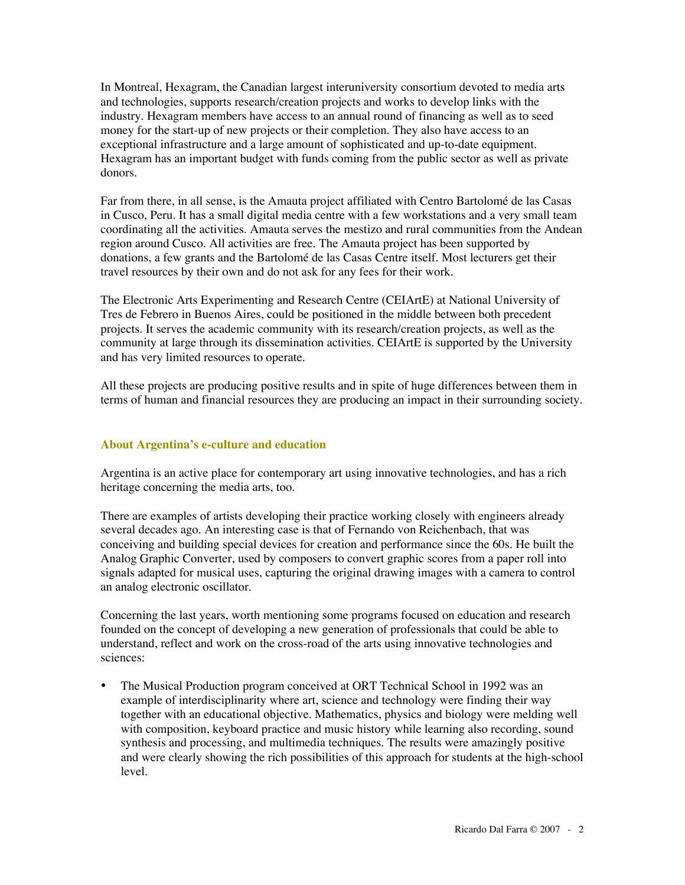In Montreal, Hexagram, the Canadian largest interuniversity consortium devoted to media arts and technologies, supports research/creation projects and works to develop links with the industry. Hexagram members have access to an annual round of financing as well as to seed money for the start-up of new projects or their completion. They also have access to an exceptional infrastructure and a large amount of sophisticated and up-to-date equipment. Hexagram has an important budget with funds coming from the public sector as well as private donors.

Far from there, in all sense, is the Amauta project affiliated with Centro Bartolomé de las Casas in Cusco, Peru. It has a small digital media centre with a few workstations and a very small team coordinating all the activities. Amauta serves the mestizo and rural communities from the Andean region around Cusco. All activities are free. The Amauta project has been supported by donations, a few grants and the Bartolomé de las Casas Centre itself. Most lecturers get their travel resources by their own and do not ask for any fees for their work.

The Electronic Arts Experimenting and Research Centre (CEIArtE) at National University of Tres de Febrero in Buenos Aires, could be positioned in the middle between both precedent projects. It serves the academic community with its research/creation projects, as well as the community at large through its dissemination activities. CEIArtE is supported by the University and has very limited resources to operate.

All these projects are producing positive results and in spite of huge differences between them in terms of human and financial resources they are producing an impact in their surrounding society.

## **About Argentina's e-culture and education**

Argentina is an active place for contemporary art using innovative technologies, and has a rich heritage concerning the media arts, too.

There are examples of artists developing their practice working closely with engineers already several decades ago. An interesting case is that of Fernando von Reichenbach, that was conceiving and building special devices for creation and performance since the 60s. He built the Analog Graphic Converter, used by composers to convert graphic scores from a paper roll into signals adapted for musical uses, capturing the original drawing images with a camera to control an analog electronic oscillator.

Concerning the last years, worth mentioning some programs focused on education and research founded on the concept of developing a new generation of professionals that could be able to understand, reflect and work on the cross-road of the arts using innovative technologies and sciences:

• The Musical Production program conceived at ORT Technical School in 1992 was an example of interdisciplinarity where art, science and technology were finding their way together with an educational objective. Mathematics, physics and biology were melding well with composition, keyboard practice and music history while learning also recording, sound synthesis and processing, and multimedia techniques. The results were amazingly positive and were clearly showing the rich possibilities of this approach for students at the high-school level.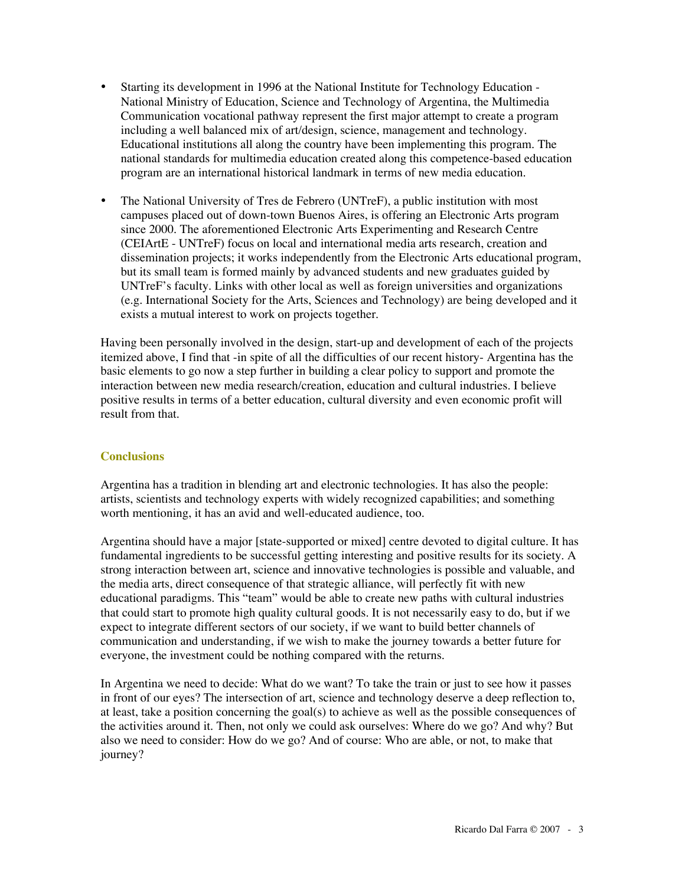- Starting its development in 1996 at the National Institute for Technology Education National Ministry of Education, Science and Technology of Argentina, the Multimedia Communication vocational pathway represent the first major attempt to create a program including a well balanced mix of art/design, science, management and technology. Educational institutions all along the country have been implementing this program. The national standards for multimedia education created along this competence-based education program are an international historical landmark in terms of new media education.
- The National University of Tres de Febrero (UNTreF), a public institution with most campuses placed out of down-town Buenos Aires, is offering an Electronic Arts program since 2000. The aforementioned Electronic Arts Experimenting and Research Centre (CEIArtE - UNTreF) focus on local and international media arts research, creation and dissemination projects; it works independently from the Electronic Arts educational program, but its small team is formed mainly by advanced students and new graduates guided by UNTreF's faculty. Links with other local as well as foreign universities and organizations (e.g. International Society for the Arts, Sciences and Technology) are being developed and it exists a mutual interest to work on projects together.

Having been personally involved in the design, start-up and development of each of the projects itemized above, I find that -in spite of all the difficulties of our recent history- Argentina has the basic elements to go now a step further in building a clear policy to support and promote the interaction between new media research/creation, education and cultural industries. I believe positive results in terms of a better education, cultural diversity and even economic profit will result from that.

## **Conclusions**

Argentina has a tradition in blending art and electronic technologies. It has also the people: artists, scientists and technology experts with widely recognized capabilities; and something worth mentioning, it has an avid and well-educated audience, too.

Argentina should have a major [state-supported or mixed] centre devoted to digital culture. It has fundamental ingredients to be successful getting interesting and positive results for its society. A strong interaction between art, science and innovative technologies is possible and valuable, and the media arts, direct consequence of that strategic alliance, will perfectly fit with new educational paradigms. This "team" would be able to create new paths with cultural industries that could start to promote high quality cultural goods. It is not necessarily easy to do, but if we expect to integrate different sectors of our society, if we want to build better channels of communication and understanding, if we wish to make the journey towards a better future for everyone, the investment could be nothing compared with the returns.

In Argentina we need to decide: What do we want? To take the train or just to see how it passes in front of our eyes? The intersection of art, science and technology deserve a deep reflection to, at least, take a position concerning the goal(s) to achieve as well as the possible consequences of the activities around it. Then, not only we could ask ourselves: Where do we go? And why? But also we need to consider: How do we go? And of course: Who are able, or not, to make that journey?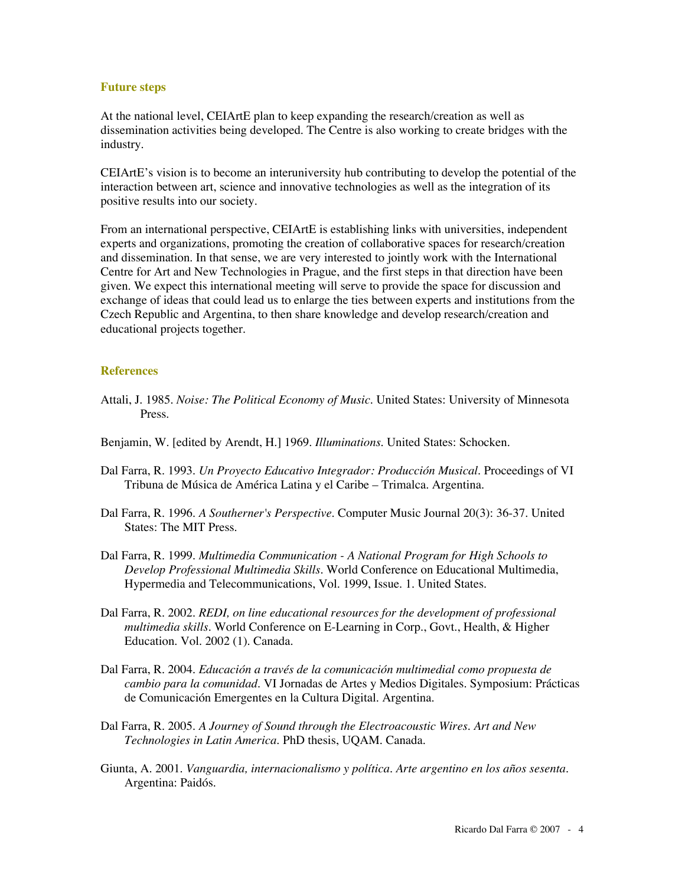#### **Future steps**

At the national level, CEIArtE plan to keep expanding the research/creation as well as dissemination activities being developed. The Centre is also working to create bridges with the industry.

CEIArtE's vision is to become an interuniversity hub contributing to develop the potential of the interaction between art, science and innovative technologies as well as the integration of its positive results into our society.

From an international perspective, CEIArtE is establishing links with universities, independent experts and organizations, promoting the creation of collaborative spaces for research/creation and dissemination. In that sense, we are very interested to jointly work with the International Centre for Art and New Technologies in Prague, and the first steps in that direction have been given. We expect this international meeting will serve to provide the space for discussion and exchange of ideas that could lead us to enlarge the ties between experts and institutions from the Czech Republic and Argentina, to then share knowledge and develop research/creation and educational projects together.

## **References**

- Attali, J. 1985. *Noise: The Political Economy of Music*. United States: University of Minnesota Press.
- Benjamin, W. [edited by Arendt, H.] 1969. *Illuminations*. United States: Schocken.
- Dal Farra, R. 1993. *Un Proyecto Educativo Integrador: Producción Musical*. Proceedings of VI Tribuna de Música de América Latina y el Caribe – Trimalca. Argentina.
- Dal Farra, R. 1996. *A Southerner's Perspective*. Computer Music Journal 20(3): 36-37. United States: The MIT Press.
- Dal Farra, R. 1999. *Multimedia Communication A National Program for High Schools to Develop Professional Multimedia Skills*. World Conference on Educational Multimedia, Hypermedia and Telecommunications, Vol. 1999, Issue. 1. United States.
- Dal Farra, R. 2002. *REDI, on line educational resources for the development of professional multimedia skills*. World Conference on E-Learning in Corp., Govt., Health, & Higher Education. Vol. 2002 (1). Canada.
- Dal Farra, R. 2004. *Educación a través de la comunicación multimedial como propuesta de cambio para la comunidad*. VI Jornadas de Artes y Medios Digitales. Symposium: Prácticas de Comunicación Emergentes en la Cultura Digital. Argentina.
- Dal Farra, R. 2005. *A Journey of Sound through the Electroacoustic Wires. Art and New Technologies in Latin America*. PhD thesis, UQAM. Canada.
- Giunta, A. 2001. *Vanguardia, internacionalismo y política. Arte argentino en los años sesenta*. Argentina: Paidós.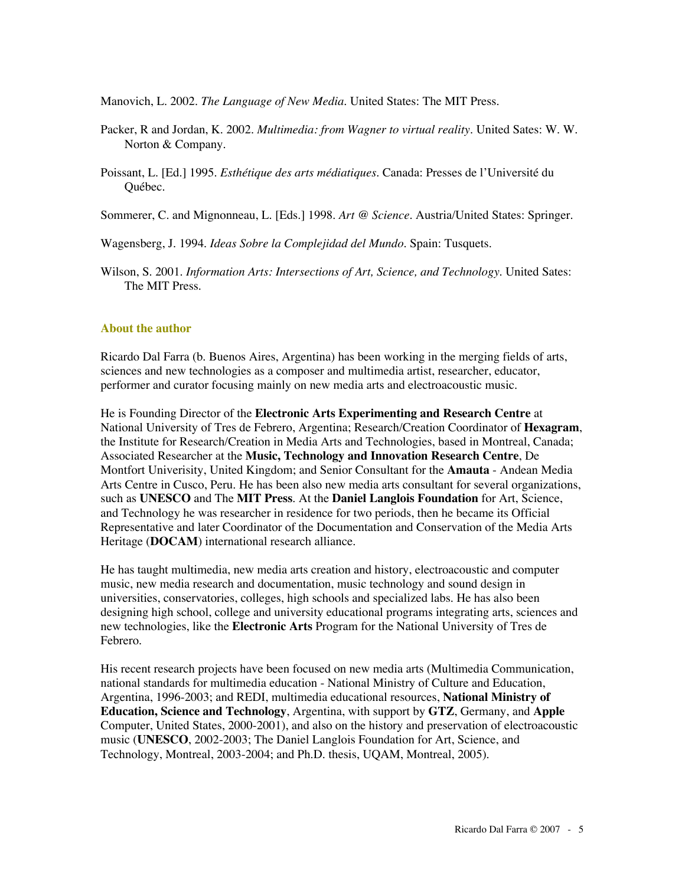Manovich, L. 2002. *The Language of New Media*. United States: The MIT Press.

- Packer, R and Jordan, K. 2002. *Multimedia: from Wagner to virtual reality*. United Sates: W. W. Norton & Company.
- Poissant, L. [Ed.] 1995. *Esthétique des arts médiatiques*. Canada: Presses de l'Université du Québec.
- Sommerer, C. and Mignonneau, L. [Eds.] 1998. *Art @ Science*. Austria/United States: Springer.

Wagensberg, J. 1994. *Ideas Sobre la Complejidad del Mundo*. Spain: Tusquets.

Wilson, S. 2001. *Information Arts: Intersections of Art, Science, and Technology*. United Sates: The MIT Press.

#### **About the author**

Ricardo Dal Farra (b. Buenos Aires, Argentina) has been working in the merging fields of arts, sciences and new technologies as a composer and multimedia artist, researcher, educator, performer and curator focusing mainly on new media arts and electroacoustic music.

He is Founding Director of the **Electronic Arts Experimenting and Research Centre** at National University of Tres de Febrero, Argentina; Research/Creation Coordinator of **Hexagram**, the Institute for Research/Creation in Media Arts and Technologies, based in Montreal, Canada; Associated Researcher at the **Music, Technology and Innovation Research Centre**, De Montfort Univerisity, United Kingdom; and Senior Consultant for the **Amauta** - Andean Media Arts Centre in Cusco, Peru. He has been also new media arts consultant for several organizations, such as **UNESCO** and The **MIT Press**. At the **Daniel Langlois Foundation** for Art, Science, and Technology he was researcher in residence for two periods, then he became its Official Representative and later Coordinator of the Documentation and Conservation of the Media Arts Heritage (**DOCAM**) international research alliance.

He has taught multimedia, new media arts creation and history, electroacoustic and computer music, new media research and documentation, music technology and sound design in universities, conservatories, colleges, high schools and specialized labs. He has also been designing high school, college and university educational programs integrating arts, sciences and new technologies, like the **Electronic Arts** Program for the National University of Tres de Febrero.

His recent research projects have been focused on new media arts (Multimedia Communication, national standards for multimedia education - National Ministry of Culture and Education, Argentina, 1996-2003; and REDI, multimedia educational resources, **National Ministry of Education, Science and Technology**, Argentina, with support by **GTZ**, Germany, and **Apple** Computer, United States, 2000-2001), and also on the history and preservation of electroacoustic music (**UNESCO**, 2002-2003; The Daniel Langlois Foundation for Art, Science, and Technology, Montreal, 2003-2004; and Ph.D. thesis, UQAM, Montreal, 2005).